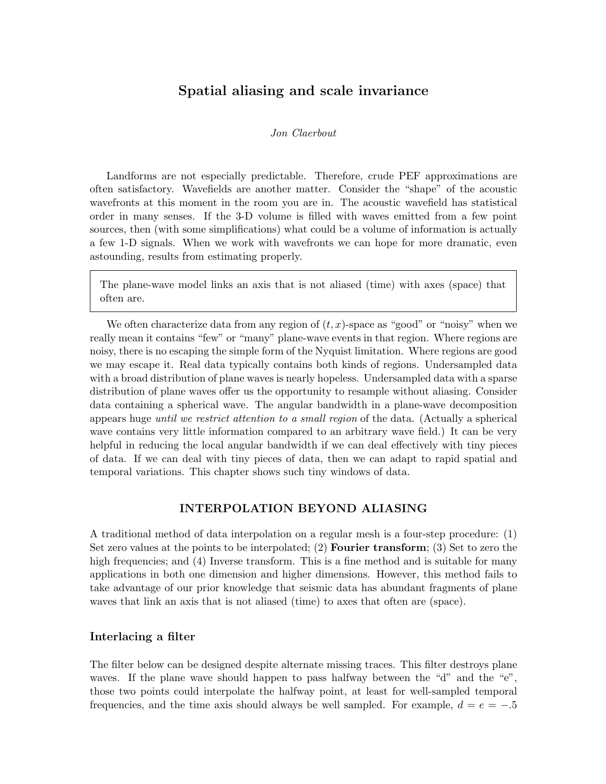# Spatial aliasing and scale invariance

#### Jon Claerbout

<span id="page-0-0"></span>Landforms are not especially predictable. Therefore, crude PEF approximations are often satisfactory. Wavefields are another matter. Consider the "shape" of the acoustic wavefronts at this moment in the room you are in. The acoustic wavefield has statistical order in many senses. If the 3-D volume is filled with waves emitted from a few point sources, then (with some simplifications) what could be a volume of information is actually a few 1-D signals. When we work with wavefronts we can hope for more dramatic, even astounding, results from estimating properly.

The plane-wave model links an axis that is not aliased (time) with axes (space) that often are.

We often characterize data from any region of  $(t, x)$ -space as "good" or "noisy" when we really mean it contains "few" or "many" plane-wave events in that region. Where regions are noisy, there is no escaping the simple form of the Nyquist limitation. Where regions are good we may escape it. Real data typically contains both kinds of regions. Undersampled data with a broad distribution of plane waves is nearly hopeless. Undersampled data with a sparse distribution of plane waves offer us the opportunity to resample without aliasing. Consider data containing a spherical wave. The angular bandwidth in a plane-wave decomposition appears huge until we restrict attention to a small region of the data. (Actually a spherical wave contains very little information compared to an arbitrary wave field.) It can be very helpful in reducing the local angular bandwidth if we can deal effectively with tiny pieces of data. If we can deal with tiny pieces of data, then we can adapt to rapid spatial and temporal variations. This chapter shows such tiny windows of data.

## INTERPOLATION BEYOND ALIASING

A traditional method of data interpolation on a regular mesh is a four-step procedure: (1) Set zero values at the points to be interpolated; (2) Fourier transform; (3) Set to zero the high frequencies; and (4) Inverse transform. This is a fine method and is suitable for many applications in both one dimension and higher dimensions. However, this method fails to take advantage of our prior knowledge that seismic data has abundant fragments of plane waves that link an axis that is not aliased (time) to axes that often are (space).

### Interlacing a filter

<span id="page-0-1"></span>The filter below can be designed despite alternate missing traces. This filter destroys plane waves. If the plane wave should happen to pass halfway between the "d" and the "e", those two points could interpolate the halfway point, at least for well-sampled temporal frequencies, and the time axis should always be well sampled. For example,  $d = e = -.5$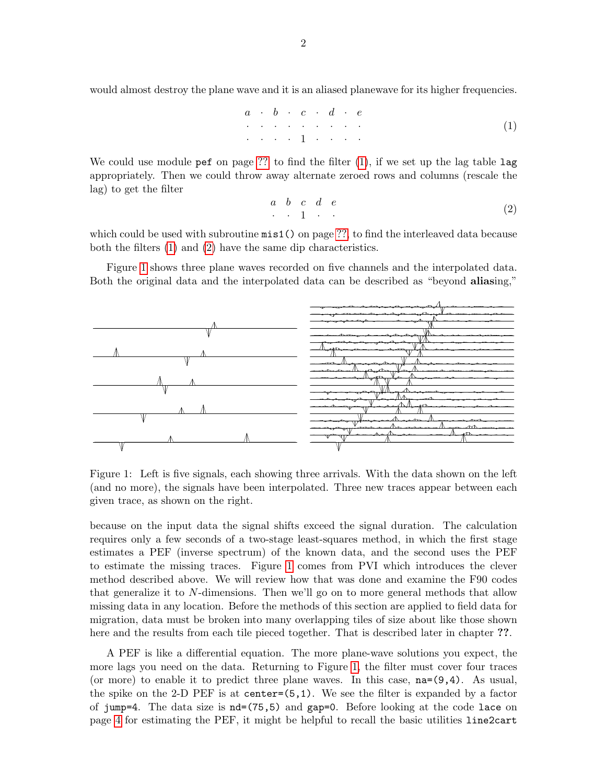would almost destroy the plane wave and it is an aliased planewave for its higher frequencies.

a · b · c · d · e · · · · · · · · · · · · · 1 · · · · (1)

We could use module  $\mathsf{per}$  on page [??](#page-0-0) to find the filter  $(1)$ , if we set up the lag table lag appropriately. Then we could throw away alternate zeroed rows and columns (rescale the lag) to get the filter

$$
\begin{array}{ccccccccc}\n a & b & c & d & e \\
 & & \ddots & 1 & \ddots & \n\end{array} \tag{2}
$$

which could be used with subroutine  $mis1()$  on page [??,](#page-0-0) to find the interleaved data because both the filters [\(1\)](#page-0-1) and [\(2\)](#page-0-1) have the same dip characteristics.

Figure [1](#page-1-0) shows three plane waves recorded on five channels and the interpolated data. Both the original data and the interpolated data can be described as "beyond aliasing,"



<span id="page-1-0"></span>Figure 1: Left is five signals, each showing three arrivals. With the data shown on the left (and no more), the signals have been interpolated. Three new traces appear between each given trace, as shown on the right.

because on the input data the signal shifts exceed the signal duration. The calculation requires only a few seconds of a two-stage least-squares method, in which the first stage estimates a PEF (inverse spectrum) of the known data, and the second uses the PEF to estimate the missing traces. Figure [1](#page-1-0) comes from PVI which introduces the clever method described above. We will review how that was done and examine the F90 codes that generalize it to N-dimensions. Then we'll go on to more general methods that allow missing data in any location. Before the methods of this section are applied to field data for migration, data must be broken into many overlapping tiles of size about like those shown here and the results from each tile pieced together. That is described later in chapter ??.

A PEF is like a differential equation. The more plane-wave solutions you expect, the more lags you need on the data. Returning to Figure [1,](#page-1-0) the filter must cover four traces (or more) to enable it to predict three plane waves. In this case, na=(9,4). As usual, the spike on the 2-D PEF is at center= $(5,1)$ . We see the filter is expanded by a factor of jump=4. The data size is nd=(75,5) and gap=0. Before looking at the code lace on page [4](#page-3-0) for estimating the PEF, it might be helpful to recall the basic utilities line2cart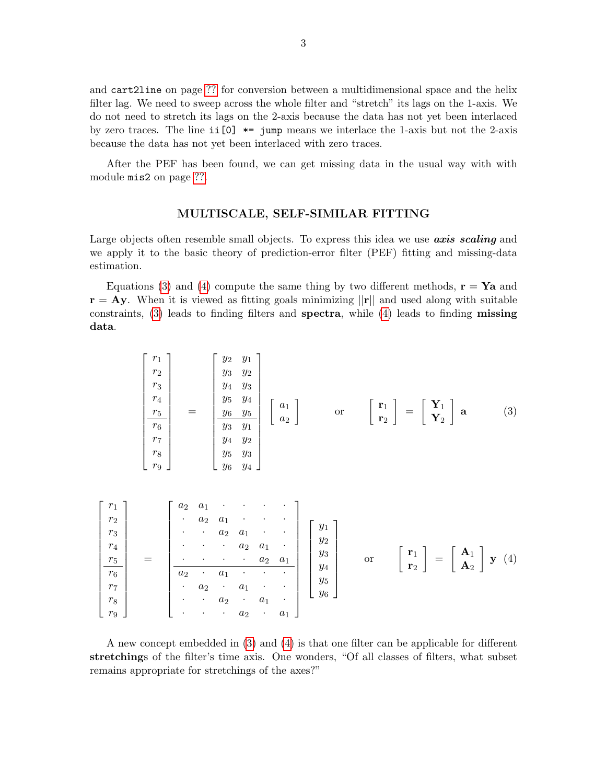and cart2line on page [??](#page-0-0) for conversion between a multidimensional space and the helix filter lag. We need to sweep across the whole filter and "stretch" its lags on the 1-axis. We do not need to stretch its lags on the 2-axis because the data has not yet been interlaced by zero traces. The line  $\text{ii[0]}$   $\ast$  = jump means we interlace the 1-axis but not the 2-axis because the data has not yet been interlaced with zero traces.

After the PEF has been found, we can get missing data in the usual way with with module mis2 on page [??.](#page-0-0)

#### MULTISCALE, SELF-SIMILAR FITTING

<span id="page-2-0"></span>Large objects often resemble small objects. To express this idea we use **axis scaling** and we apply it to the basic theory of prediction-error filter (PEF) fitting and missing-data estimation.

Equations [\(3\)](#page-2-0) and [\(4\)](#page-2-0) compute the same thing by two different methods,  $\mathbf{r} = \mathbf{Ya}$  and  $\mathbf{r} = \mathbf{A} \mathbf{y}$ . When it is viewed as fitting goals minimizing  $||\mathbf{r}||$  and used along with suitable constraints, [\(3\)](#page-2-0) leads to finding filters and spectra, while [\(4\)](#page-2-0) leads to finding missing data.

$$
\begin{bmatrix}\nr_1 \\
r_2 \\
r_3 \\
r_4 \\
r_5 \\
r_6 \\
r_7 \\
r_8 \\
r_9\n\end{bmatrix} = \begin{bmatrix}\ny_2 & y_1 \\
y_3 & y_2 \\
y_4 & y_3 \\
y_5 & y_4 \\
y_3 & y_1 \\
y_4 & y_2 \\
y_6 & y_4\n\end{bmatrix} \begin{bmatrix}\na_1 \\
a_2\n\end{bmatrix} \quad \text{or} \quad \begin{bmatrix}\n\mathbf{r}_1 \\
\mathbf{r}_2\n\end{bmatrix} = \begin{bmatrix}\n\mathbf{Y}_1 \\
\mathbf{Y}_2\n\end{bmatrix} \quad \text{a}
$$
\n(3)

| $r_1$<br>$r_2$<br>$r_{3}$<br>$r_{\rm 4}$<br>$r_{\rm 5}$<br>$r_{\rm 6}$<br>r <sub>7</sub><br>$r_{\rm 8}$<br>$r_9$ |  | $a_2$<br>٠<br>$\bullet$<br>$\bullet$<br>٠<br>$a_2$<br>٠<br>$\bullet$ | $a_1$<br>$a_2$<br>٠<br>$\bullet$<br>$a_2$ | $a_1$<br>$a_2$<br>٠<br>a <sub>1</sub><br>٠<br>$a_2$<br>٠ | a <sub>1</sub><br>$a_2$<br>٠<br>$a_1$<br>٠<br>$a_2$ | $a_1$<br>$a_2$<br>$a_1$ | ٠<br>٠<br>$a_1$<br>٠<br>$\bullet$<br>a <sub>1</sub> | $y_1$<br>$\mathcal{y}_2$<br>$y_3$<br>$y_{4}$<br>$y_{\rm 5}$<br>$y_6$ | <b>or</b> | ${\bf A}_1$<br>${\bf r}_1$<br>(4)<br>${\bf y}$<br>$=$<br>${\bf A}_2$<br>${\bf r}_2$ |
|------------------------------------------------------------------------------------------------------------------|--|----------------------------------------------------------------------|-------------------------------------------|----------------------------------------------------------|-----------------------------------------------------|-------------------------|-----------------------------------------------------|----------------------------------------------------------------------|-----------|-------------------------------------------------------------------------------------|
|------------------------------------------------------------------------------------------------------------------|--|----------------------------------------------------------------------|-------------------------------------------|----------------------------------------------------------|-----------------------------------------------------|-------------------------|-----------------------------------------------------|----------------------------------------------------------------------|-----------|-------------------------------------------------------------------------------------|

A new concept embedded in [\(3\)](#page-2-0) and [\(4\)](#page-2-0) is that one filter can be applicable for different stretchings of the filter's time axis. One wonders, "Of all classes of filters, what subset remains appropriate for stretchings of the axes?"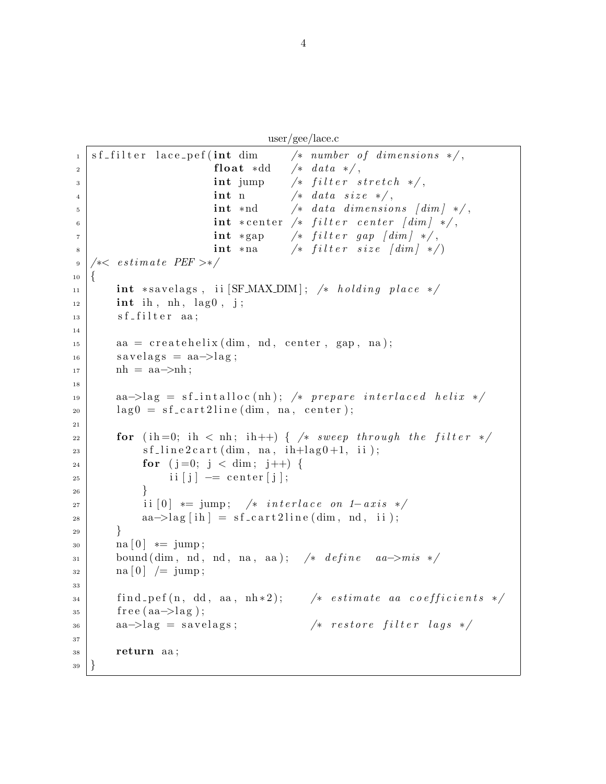```
user/gee/lace.c
```

```
1 \mid \text{sf-filter} \text{ lace\_pcf} (int dim /* number of dimensions */,
2 | float *dd \neq data */,
\begin{array}{c|c|c|c|c} \text{3} & \text{int jump} & \text{/* filter stretch } * \text{/}, \end{array}\int_4 int n \int_* du \, da \, is \, i \, z \, e \, * \, / \, ,\begin{array}{ccc} 5 & \text{in } \mathbf{t} \ * \text{nd} \end{array} /* data dimensions \begin{array}{ccc} \text{dim} & \ast/ \end{array},
6 int \astcenter \ast filter center \dim \ast /,
\begin{array}{ccc} 7 & \text{int} \\ \end{array} \begin{array}{ccc} \text{int} \\ \end{array} \begin{array}{ccc} \text{sup} \\ \end{array} \begin{array}{ccc} \end{array} \begin{array}{ccc} \text{int} \\ \end{array} \begin{array}{ccc} \text{sup} \\ \end{array} \begin{array}{ccc} \text{int} \\ \end{array} \begin{array}{ccc} \end{array} \begin{array}{ccc} \end{array}8 int ∗na /∗ f i l t e r s i z e [ dim ] ∗/ )
9 \frac{\times}{\times} estimate PEF >*/
10 {
11 int *savelags, ii [SF_MAX_DIM]; /* holding place */
_{12} int ih, nh, lag0, j;
13 sf-filter aa;
14
\begin{array}{c|c} \n\text{15} & \text{aa} = \text{createhelix}(\text{dim}, \text{nd}, \text{center}, \text{gap}, \text{na});\n\end{array}_{16} savelags = aa->lag;
n_1 nh = aa->nh;
18
19 aa->lag = sf_intalloc(nh); /* prepare interlaced helix */
20 and 20 = s f_c \arct{2} line (dim, na, center);
21
22 for (ih =0; ih < nh; ih ++) { /* sweep through the filter */23 \mid sf_line2cart(dim, na, ih+lag0+1, ii);
_{24} for (j=0; j < dim; j++)25 ii [j] - center [j];
26 }
27 ii [0] * = jump; /* interlace on 1-axis */aaa\rightarrowlag [ih] = sf_cart2line (dim, nd, ii);
29 }
30 \mid na [0] \ast = \text{jump};
31 bound (dim, nd, nd, na, aa); /* define aa->mis */
32 \mid na [0] /= jump;
33
\begin{array}{c|c|c|c|c} \text{34} & \text{find\_pcf(n, dd, aa, nh*2);} \end{array} /* estimate aa coefficients */
35 \mid free (aa->lag);
\alpha aa\rightarrowlag = savelags; \rightarrow restore filter lags */37
38 return aa ;
39 \,
```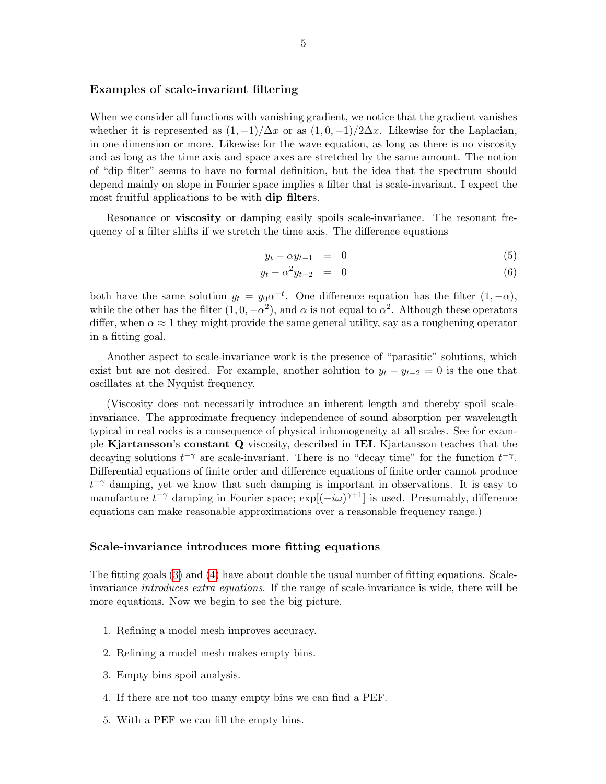#### Examples of scale-invariant filtering

When we consider all functions with vanishing gradient, we notice that the gradient vanishes whether it is represented as  $(1, -1)/\Delta x$  or as  $(1, 0, -1)/2\Delta x$ . Likewise for the Laplacian, in one dimension or more. Likewise for the wave equation, as long as there is no viscosity and as long as the time axis and space axes are stretched by the same amount. The notion of "dip filter" seems to have no formal definition, but the idea that the spectrum should depend mainly on slope in Fourier space implies a filter that is scale-invariant. I expect the most fruitful applications to be with dip filters.

Resonance or viscosity or damping easily spoils scale-invariance. The resonant frequency of a filter shifts if we stretch the time axis. The difference equations

$$
y_t - \alpha y_{t-1} = 0 \tag{5}
$$

$$
y_t - \alpha^2 y_{t-2} = 0 \tag{6}
$$

both have the same solution  $y_t = y_0 \alpha^{-t}$ . One difference equation has the filter  $(1, -\alpha)$ , while the other has the filter  $(1,0,-\alpha^2)$ , and  $\alpha$  is not equal to  $\alpha^2$ . Although these operators differ, when  $\alpha \approx 1$  they might provide the same general utility, say as a roughening operator in a fitting goal.

Another aspect to scale-invariance work is the presence of "parasitic" solutions, which exist but are not desired. For example, another solution to  $y_t - y_{t-2} = 0$  is the one that oscillates at the Nyquist frequency.

(Viscosity does not necessarily introduce an inherent length and thereby spoil scaleinvariance. The approximate frequency independence of sound absorption per wavelength typical in real rocks is a consequence of physical inhomogeneity at all scales. See for example Kjartansson's constant Q viscosity, described in IEI. Kjartansson teaches that the decaying solutions  $t^{-\gamma}$  are scale-invariant. There is no "decay time" for the function  $t^{-\gamma}$ . Differential equations of finite order and difference equations of finite order cannot produce  $t^{-\gamma}$  damping, yet we know that such damping is important in observations. It is easy to manufacture  $t^{-\gamma}$  damping in Fourier space;  $\exp[(-i\omega)^{\gamma+1}]$  is used. Presumably, difference equations can make reasonable approximations over a reasonable frequency range.)

#### Scale-invariance introduces more fitting equations

The fitting goals [\(3\)](#page-2-0) and [\(4\)](#page-2-0) have about double the usual number of fitting equations. Scaleinvariance introduces extra equations. If the range of scale-invariance is wide, there will be more equations. Now we begin to see the big picture.

- 1. Refining a model mesh improves accuracy.
- 2. Refining a model mesh makes empty bins.
- 3. Empty bins spoil analysis.
- 4. If there are not too many empty bins we can find a PEF.
- 5. With a PEF we can fill the empty bins.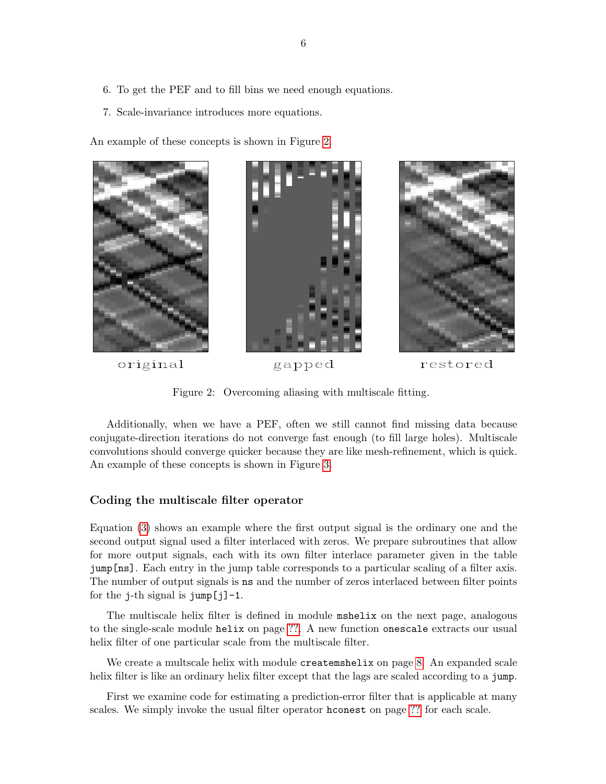- 6. To get the PEF and to fill bins we need enough equations.
- 7. Scale-invariance introduces more equations.

An example of these concepts is shown in Figure [2.](#page-5-0)



original

gapped

restored

<span id="page-5-0"></span>Figure 2: Overcoming aliasing with multiscale fitting.

Additionally, when we have a PEF, often we still cannot find missing data because conjugate-direction iterations do not converge fast enough (to fill large holes). Multiscale convolutions should converge quicker because they are like mesh-refinement, which is quick. An example of these concepts is shown in Figure [3.](#page-6-0)

### Coding the multiscale filter operator

Equation [\(3\)](#page-2-0) shows an example where the first output signal is the ordinary one and the second output signal used a filter interlaced with zeros. We prepare subroutines that allow for more output signals, each with its own filter interlace parameter given in the table jump[ns]. Each entry in the jump table corresponds to a particular scaling of a filter axis. The number of output signals is ns and the number of zeros interlaced between filter points for the *j*-th signal is  $jump[j]-1$ .

The multiscale helix filter is defined in module mshelix on the next page, analogous to the single-scale module helix on page [??.](#page-0-0) A new function onescale extracts our usual helix filter of one particular scale from the multiscale filter.

We create a multscale helix with module createmshelix on page [8.](#page-7-0) An expanded scale helix filter is like an ordinary helix filter except that the lags are scaled according to a jump.

First we examine code for estimating a prediction-error filter that is applicable at many scales. We simply invoke the usual filter operator hconest on page [??](#page-0-0) for each scale.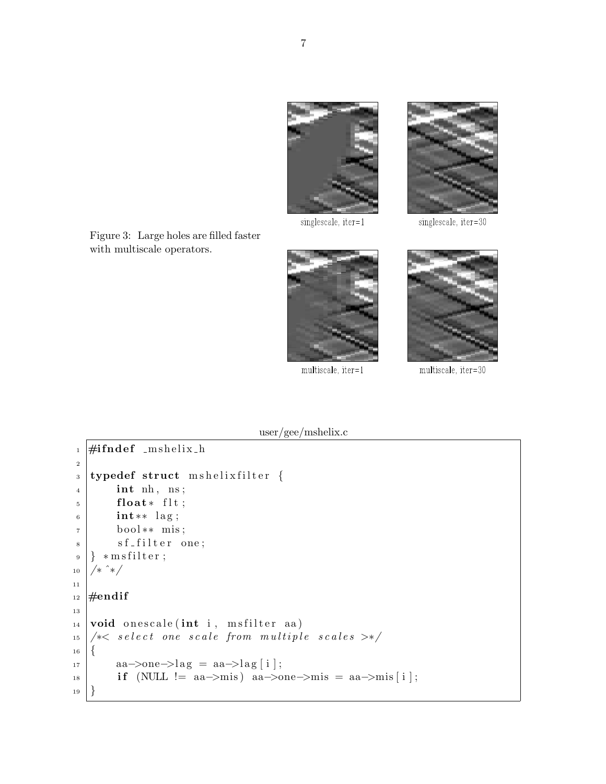



singlescale, iter=30

<span id="page-6-0"></span>Figure 3: Large holes are filled faster with multiscale operators.



singlescale,  $iter=1$ 

multiscale, iter=1



multiscale, iter=30

### user/gee/mshelix.c

```
_1 #ifndef _mshelix_h
2
\frac{3}{3} typedef struct mshelixfilter {
4 int nh, ns;
5 float * flt;
6 int * \cdot \text{lag};
7 \mid \text{bool}** mis;
8 sf-filter one;
9 \} * m s filter;
10 /∗ˆ∗/
11
_{12} \#endif
13
_{14} void onescale (int i, msfilter aa)
15 /*< select one scale from multiple scales >*/
16 \mid \{\begin{array}{c|c} \text{17} & \text{aa} \rightarrow \text{one} \rightarrow \text{lag} = \text{aa} \rightarrow \text{lag} \text{[i]}; \end{array}18 if (NULL != aa->mis) aa->one->mis = aa->mis [i ];
\left| \begin{array}{c} 19 \end{array} \right|
```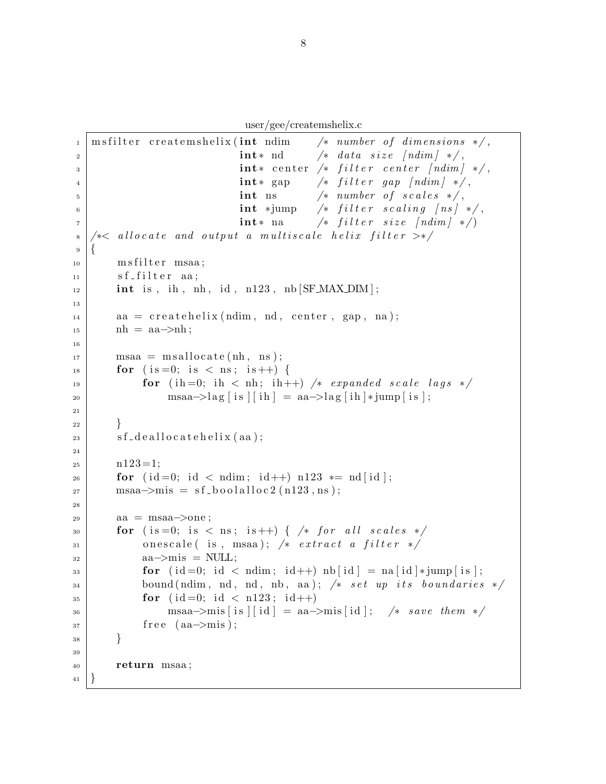user/gee/createmshelix.c

```
1 \mid \text{msfilter} createmshelix (int ndim \mid /* number of dimensions */,
2 \mid int * nd \neq data size [ndim] */,
\int int* center /* filter center \int / \int ndim \int */,
4 int ∗ gap /∗ f i l t e r gap [ ndim ] ∗/ ,
\frac{1}{5} int ns \frac{1}{2} number of scales */,
6 int \astjump /* filter scaling [ns] \ast/,
\begin{array}{ccc} 7 \end{array} int* na \begin{array}{ccc} \end{array} \begin{array}{ccc} \end{array} \begin{array}{ccc} \end{array} \begin{array}{ccc} \end{array} \begin{array}{ccc} \end{array} \begin{array}{ccc} \end{array} \begin{array}{ccc} \end{array} \begin{array}{ccc} \end{array} \begin{array}{ccc} \end{array} \begin{array}{ccc} \end{array} \begin{array}{ccc} \end{array} \begin{array}{ccc} \end{array} \begin{array}{ccc} \end{array} s | /∗< allocate and output a multiscale helix filter >*/
\,9<sup>10</sup> msfilter msaa;
11 sf-filter aa;
_{12} int is, ih, nh, id, n123, nb [SF_MAX_DIM];
13
a_1 aa = createhelix (ndim, nd, center, gap, na);
\ln 15 nh = aa \rightarrow nh;
16
\begin{array}{c|c|c|c} \n & \text{msaa} = \text{msallocate} (\text{nh}, \text{ns}); \n\end{array}_{18} for (is =0; is < ns; is ++) {
19 for (ih =0; ih < nh; ih ++) /* expanded scale lags */20 msaa\rightarrowl ag [ i s ] [ i h ] = aa\rightarrowl ag [ i h ] \ast jump [ i s ];
21
22 }
23 sf-deallocatehelix (aa);
24
n123 = 1;26 for ( id =0; id < ndim; id ++) n123 * = nd [id ];
27 \text{ masa} \rightarrow \text{mis} = \text{sf\_boolalloc2} (\text{n123}, \text{ns});28
_{29} aa = msaa->one;
30 for ( is =0; is < ns; is ++) { \frac{\pi}{30} for all scales */
31 onescale ( is, msaa); /* extract a filter */
\alpha a \rightarrow \text{mis} = \text{NULL};33 for (id=0; id < ndim; id++) nb [id] = na [id] *jump [is];
34 bound (ndim, nd, nd, nb, aa); /* set up its boundaries */
35 for (id=0; id < n123; id++)\text{136} msaa->mis [is ] [id] = aa->mis [id]; /* save them */
37 \mid free (aa \rightarrow mis);38 }
39
40 return msaa ;
41 }
```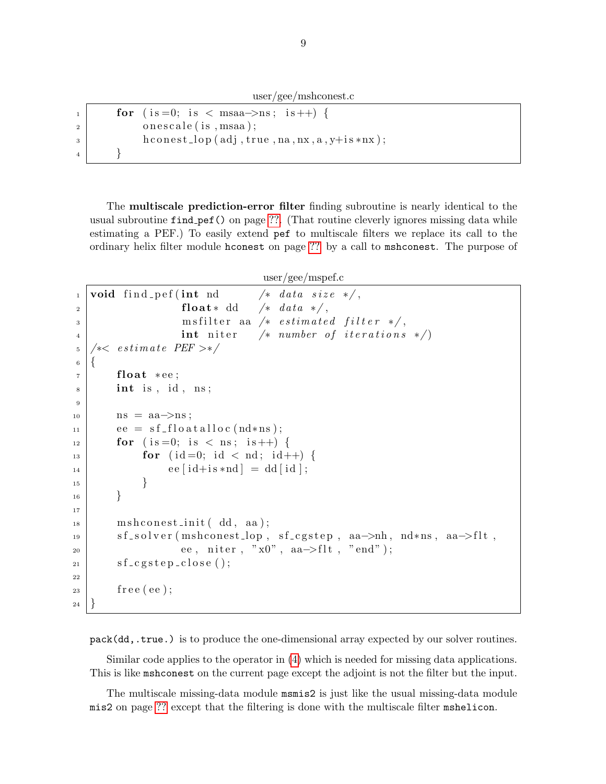```
user/gee/mshconest.c
```

|                | for (is=0; is < msaa->ns; is++) {                                                                                  |
|----------------|--------------------------------------------------------------------------------------------------------------------|
| $\overline{2}$ | onescale (is, msaa);                                                                                               |
| $\mathbf{3}$   | $h \text{conest\_lop}(\text{adj}, \text{true}, \text{na}, \text{nx}, \text{a}, \text{y} + \text{is} * \text{nx});$ |
|                |                                                                                                                    |

The multiscale prediction-error filter finding subroutine is nearly identical to the usual subroutine find pef() on page [??.](#page-0-0) (That routine cleverly ignores missing data while estimating a PEF.) To easily extend pef to multiscale filters we replace its call to the ordinary helix filter module hconest on page [??](#page-0-0) by a call to mshconest. The purpose of

```
user/gee/mspef.c
```

```
\frac{1}{1} void find_pef(int nd /* data size */,
2 \mid float * dd /* data */,
\begin{array}{c|c|c|c|c} \hline \ \text{as} & \text{msfilter} & \text{aa} & \text{/*} & \text{estimated} & \text{filter} & \text{*/} \,, \ \hline \end{array}4 int niter \langle * \n\rangle number of iterations */5 /*< estimate PEF >*/
\sqrt{6}7 \mid float *ee;
|\text{int is, id, ns};9
\ln 0 ns = \text{aa} \rightarrow \text{ns};
_{11} ee = sf_floatalloc(nd*ns);
_{12} for ( is =0; is < ns; is ++) {
_{13} for (id =0; id < nd; id ++) {
e[e\left[i\right] + is \cdot nd\right] = dd\left[i\right];15 }
16 }
17
\text{ns} m sh c o n e st _init ( dd, aa);
19 sf_solver (mshconest_lop, sf_cgstep, aa->nh, nd*ns, aa->flt,
_{20} ee, niter, "x0", aa->flt, "end");
21 sf -c g step -c lose ();
22
23 \mid free (ee);
24 }
```
pack(dd,.true.) is to produce the one-dimensional array expected by our solver routines.

Similar code applies to the operator in [\(4\)](#page-2-0) which is needed for missing data applications. This is like mshconest on the current page except the adjoint is not the filter but the input.

The multiscale missing-data module msmis2 is just like the usual missing-data module mis2 on page [??](#page-0-0) except that the filtering is done with the multiscale filter mshelicon.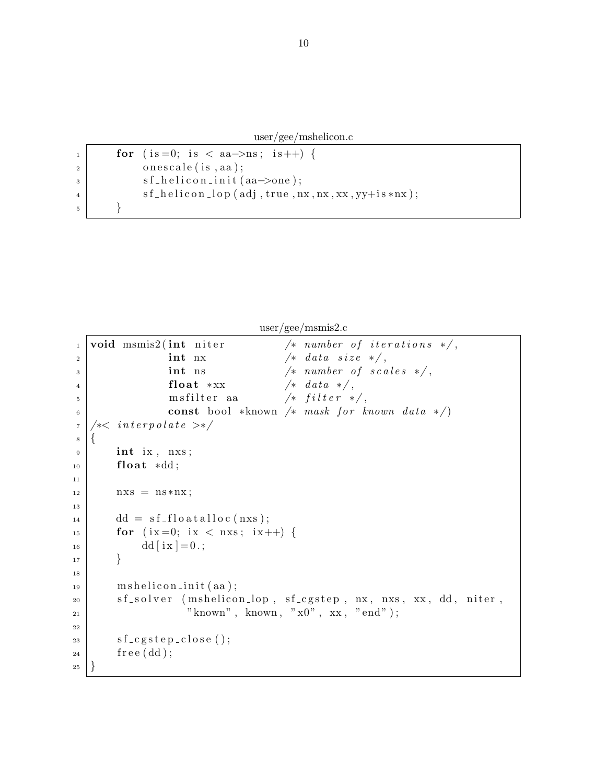```
user/gee/mshelicon.c
```

```
_1 for ( is =0; is < aa->ns; is ++) {
2 | \text{onescale}(\text{is}, \text{aa});\begin{array}{c|c} \text{3} & \text{sf} \text{=} \text{helicon\_init} \text{ (aa} \text{=} \text{one} \text{)}; \end{array}\{a \mid s \in A \text{ } \text{ if } a \in A \text{ if } s \in A \text{ if } s \in A \text{ if } s \in A \text{ if } s \in A \text{ if } s \in A \text{ if } s \in A \text{ if } s \in A \text{ if } s \in A \text{ if } s \in A \text{ if } s \in A \text{ if } s \in A \text{ if } s \in A \text{ if } s \in A \text{ if } s \in A \text{ if } s \in A \text{ if } s \in A \text{ if } s \in A \text{ if } s \in A \text{ if } s \in A \text{ if } s \in A \text{ if } s \in A \text{ if } s \in A5 }
```

```
user/gee/msmis2.c
```

```
1 \text{ void } \text{ msmis2}(\text{int} \text{ niter} /* number of iterations */,
2 \mid int nx \left\langle * \right\rangle data size \left\langle * \right\rangle,
\begin{array}{c|c|c|c|c|c} \text{3} & \text{3} & \text{4} & \text{5} & \text{5} & \text{6} & \text{7} & \text{8} & \text{7} \end{array}4 \int_4 float *xx \int_4 data */,
5 \mid msfilter aa /* filter */,
6 const bool *known /* mask for known data */
7 \mid \neq interpolate >*/
8 \mid \}9 int ix, nxs;
_{10} float \astdd;
11
n x s = n s * n x;13
_{14} dd = sf_float alloc (nxs);
_{15} for (ix=0; ix < nxs; ix++) {
_{16} dd [ i x ] = 0 .;
17 }
18
_{19} m shelicon_init (aa);
20 sf_solver (mshelicon_lop, sf_cgstep, nx, nxs, xx, dd, niter,
\begin{array}{c} \text{21} \\ \text{221} \end{array} "known", known, "x0", xx, "end");
22
23 \mid \qquad \text{sf\_cgs} \text{tep\_close}();
24 \mid \text{free (dd)};25\,
```